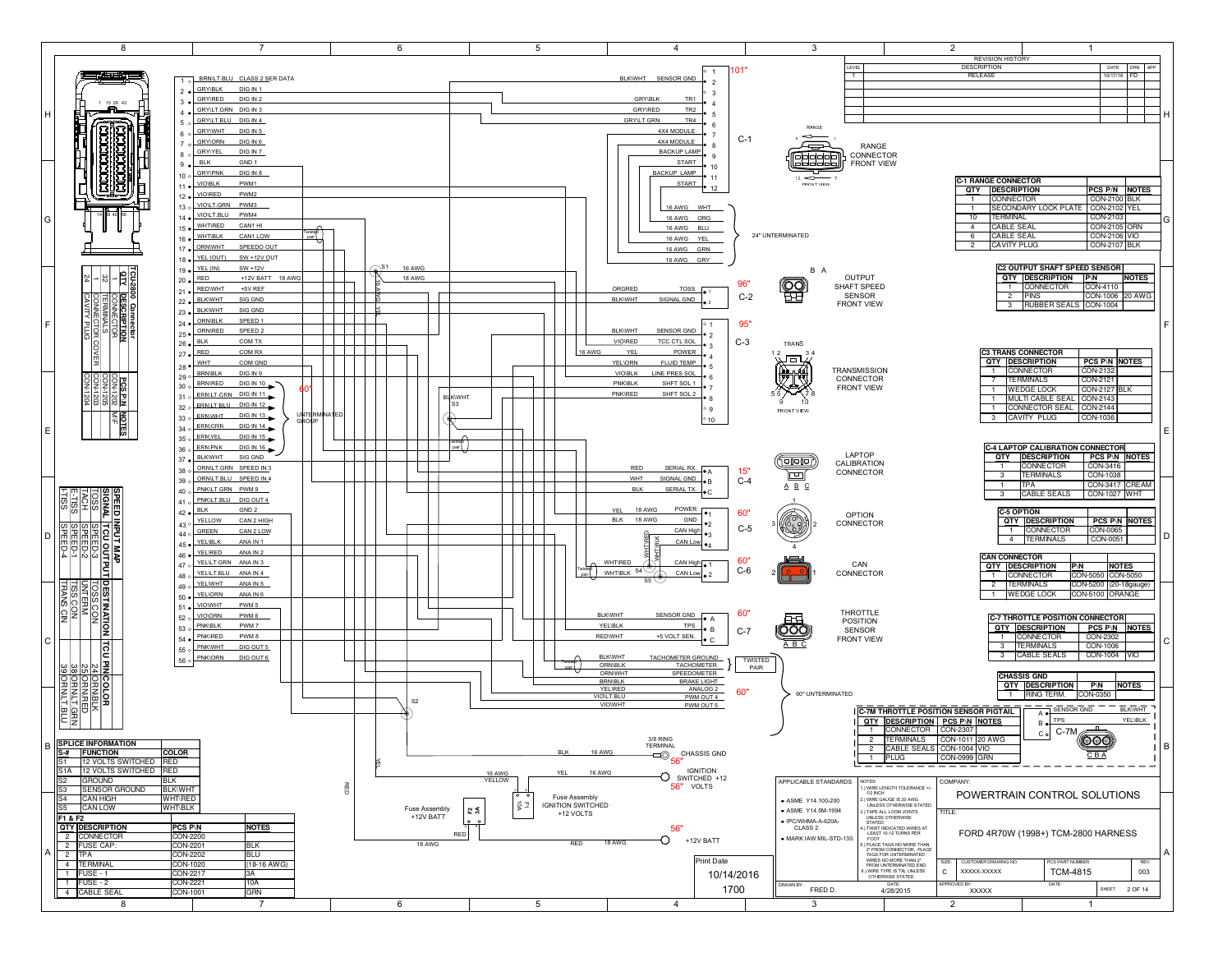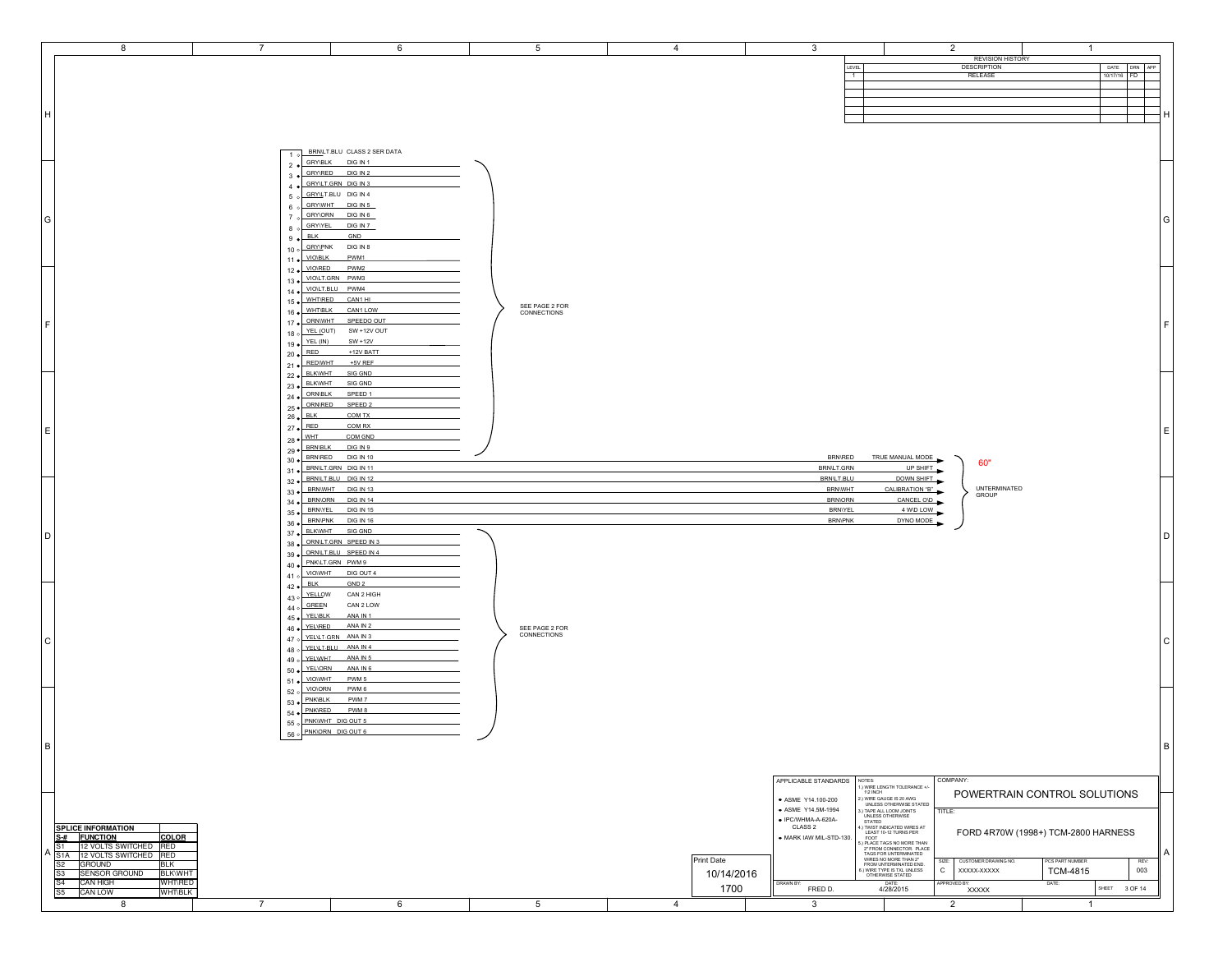| 8                                                                                                         | $\overline{7}$                              | 6                                                 | 5                             | $\overline{4}$ | $\mathbf{3}$                             |                                                                                                                                                                                                                     | $\overline{2}$                | $\overline{1}$                      |     |
|-----------------------------------------------------------------------------------------------------------|---------------------------------------------|---------------------------------------------------|-------------------------------|----------------|------------------------------------------|---------------------------------------------------------------------------------------------------------------------------------------------------------------------------------------------------------------------|-------------------------------|-------------------------------------|-----|
|                                                                                                           |                                             |                                                   |                               |                |                                          |                                                                                                                                                                                                                     | <b>REVISION HISTORY</b>       |                                     |     |
|                                                                                                           |                                             |                                                   |                               |                | LEVEL<br>$\overline{1}$                  |                                                                                                                                                                                                                     | <b>DESCRIPTION</b><br>RELEASE | DATE<br>DRN APP<br>10/17/16 FD      |     |
|                                                                                                           |                                             |                                                   |                               |                |                                          |                                                                                                                                                                                                                     |                               |                                     |     |
|                                                                                                           |                                             |                                                   |                               |                |                                          |                                                                                                                                                                                                                     |                               |                                     |     |
|                                                                                                           |                                             |                                                   |                               |                |                                          |                                                                                                                                                                                                                     |                               |                                     |     |
| H                                                                                                         |                                             |                                                   |                               |                |                                          |                                                                                                                                                                                                                     |                               |                                     |     |
|                                                                                                           |                                             |                                                   |                               |                |                                          |                                                                                                                                                                                                                     |                               |                                     |     |
|                                                                                                           |                                             |                                                   |                               |                |                                          |                                                                                                                                                                                                                     |                               |                                     |     |
|                                                                                                           |                                             | 1 o BRNLT.BLU CLASS 2 SER DATA<br>2 CRYSLK DIGINT |                               |                |                                          |                                                                                                                                                                                                                     |                               |                                     |     |
|                                                                                                           |                                             | 3 CRYNRED DIGIN2                                  |                               |                |                                          |                                                                                                                                                                                                                     |                               |                                     |     |
|                                                                                                           |                                             | 4 CRYNLT.GRN DIG IN 3                             |                               |                |                                          |                                                                                                                                                                                                                     |                               |                                     |     |
|                                                                                                           |                                             | 5 o GRYLT.BLU DIG IN 4                            |                               |                |                                          |                                                                                                                                                                                                                     |                               |                                     |     |
|                                                                                                           |                                             | 6 o GRYWHT DIG IN 5                               |                               |                |                                          |                                                                                                                                                                                                                     |                               |                                     |     |
| G                                                                                                         |                                             | 7 GRYLORN DIG IN 6                                |                               |                |                                          |                                                                                                                                                                                                                     |                               |                                     | l G |
|                                                                                                           | $9 \bullet$ BLK                             | 8 o GRYVEL DIG IN 7<br>GND                        |                               |                |                                          |                                                                                                                                                                                                                     |                               |                                     |     |
|                                                                                                           |                                             | 10 o GRYLPNK DIG IN 8                             |                               |                |                                          |                                                                                                                                                                                                                     |                               |                                     |     |
|                                                                                                           | 11 . VIOVBLK                                | PWM1                                              |                               |                |                                          |                                                                                                                                                                                                                     |                               |                                     |     |
|                                                                                                           | 12 · VIOVRED                                | PWM2                                              |                               |                |                                          |                                                                                                                                                                                                                     |                               |                                     |     |
|                                                                                                           |                                             | 13 . VIOLT.GRN PWM3                               |                               |                |                                          |                                                                                                                                                                                                                     |                               |                                     |     |
|                                                                                                           | 14 · VIOLT.BLU                              | PWM4                                              |                               |                |                                          |                                                                                                                                                                                                                     |                               |                                     |     |
|                                                                                                           | 15 . WHTRED                                 | CAN1 HI<br>CAN1 LOW                               | SEE PAGE 2 FOR                |                |                                          |                                                                                                                                                                                                                     |                               |                                     |     |
|                                                                                                           | $16 \bullet$ WHTELK<br>17 . ORNWHT          | SPEEDO OUT                                        | CONNECTIONS                   |                |                                          |                                                                                                                                                                                                                     |                               |                                     |     |
| l F.                                                                                                      |                                             | 18 o YEL (OUT) SW +12V OUT                        |                               |                |                                          |                                                                                                                                                                                                                     |                               |                                     |     |
|                                                                                                           | $19 \cdot \frac{\text{YEL (IN)}}{\text{L}}$ | $SW + 12V$                                        |                               |                |                                          |                                                                                                                                                                                                                     |                               |                                     |     |
|                                                                                                           | $20 \bullet$ RED                            | +12V BATT                                         |                               |                |                                          |                                                                                                                                                                                                                     |                               |                                     |     |
|                                                                                                           | 21 . REDWHT                                 | $+5V$ REF                                         |                               |                |                                          |                                                                                                                                                                                                                     |                               |                                     |     |
|                                                                                                           | 22 . BLKWHT                                 | SIG GND                                           |                               |                |                                          |                                                                                                                                                                                                                     |                               |                                     |     |
| E                                                                                                         | 23 . BLKWHT<br>24 CRNBLK                    | SIG GND<br>SPEED 1                                |                               |                |                                          |                                                                                                                                                                                                                     |                               |                                     |     |
|                                                                                                           | 25 . ORNIRED                                | SPEED <sub>2</sub>                                |                               |                |                                          |                                                                                                                                                                                                                     |                               |                                     |     |
|                                                                                                           | $26 \bullet$ BLK                            | COM TX                                            |                               |                |                                          |                                                                                                                                                                                                                     |                               |                                     |     |
|                                                                                                           | $27 \bullet \overline{\text{RED}}$          | COM RX                                            |                               |                |                                          |                                                                                                                                                                                                                     |                               |                                     | ΙE  |
|                                                                                                           | $28 \bullet \overline{\text{WHT}}$          | COM GND                                           |                               |                |                                          |                                                                                                                                                                                                                     |                               |                                     |     |
|                                                                                                           | $29 \cdot \frac{\text{BRN-BLK}}{29}$        | DIG IN 9                                          |                               |                |                                          |                                                                                                                                                                                                                     |                               |                                     |     |
|                                                                                                           | 30 BRNRED                                   | <b>DIG IN 10</b><br>31 . BRNLT.GRN DIG IN 11      |                               |                | <b>BRN\RED</b><br>BRN/LT.GRN             | TRUE MANUAL MODE<br>UP SHIFT                                                                                                                                                                                        | 60"                           |                                     |     |
|                                                                                                           |                                             | 32 · BRNLT.BLU DIG IN 12                          |                               |                | BRN\LT.BLU                               | DOWN SHIFT                                                                                                                                                                                                          |                               |                                     |     |
|                                                                                                           |                                             | 33 . BRNWHT DIG IN 13                             |                               |                | <b>BRNWHT</b>                            | CALIBRATION "B"                                                                                                                                                                                                     | UNTERMINATED                  |                                     |     |
|                                                                                                           | $34 \bullet$                                | BRN\ORN DIG IN 14                                 |                               |                | <b>BRNORN</b>                            | CANCEL OVD                                                                                                                                                                                                          | GROUP                         |                                     |     |
|                                                                                                           | 35 .BRNIYEL                                 | <b>DIG IN 15</b>                                  |                               |                | <b>BRNIYEL</b><br>4 WD LOW               |                                                                                                                                                                                                                     |                               |                                     |     |
|                                                                                                           | 36 BRNPNK                                   | <b>DIG IN 16</b>                                  |                               |                | <b>BRN\PNK</b>                           | DYNO MODE                                                                                                                                                                                                           |                               |                                     |     |
| D                                                                                                         | 37 . BLKWHT                                 | SIG GND<br>ORN/LT.GRN SPEED IN 3                  |                               |                |                                          |                                                                                                                                                                                                                     |                               |                                     |     |
|                                                                                                           | 38 <sub>o</sub>                             | 39 . ORNLT.BLU SPEED IN 4                         |                               |                |                                          |                                                                                                                                                                                                                     |                               |                                     |     |
|                                                                                                           |                                             | 40 · PNK\LT.GRN PWM9                              |                               |                |                                          |                                                                                                                                                                                                                     |                               |                                     |     |
|                                                                                                           |                                             | 41 o VIOWHT DIG OUT 4                             |                               |                |                                          |                                                                                                                                                                                                                     |                               |                                     |     |
|                                                                                                           | $42 \bullet \overline{\phantom{1em}}$ BLK   | GND <sub>2</sub>                                  |                               |                |                                          |                                                                                                                                                                                                                     |                               |                                     |     |
|                                                                                                           | 43 o YELLOW                                 | CAN 2 HIGH                                        |                               |                |                                          |                                                                                                                                                                                                                     |                               |                                     |     |
|                                                                                                           | $44$ o GREEN                                | CAN 2 LOW                                         |                               |                |                                          |                                                                                                                                                                                                                     |                               |                                     |     |
|                                                                                                           | 45 · YELIBLK<br>46 · YELIRED                | ANA IN 1<br>ANA IN 2                              |                               |                |                                          |                                                                                                                                                                                                                     |                               |                                     |     |
|                                                                                                           |                                             | 47 o YELLELGRN ANA IN 3                           | SEE PAGE 2 FOR<br>CONNECTIONS |                |                                          |                                                                                                                                                                                                                     |                               |                                     |     |
| l C                                                                                                       |                                             | 48 o YELLT BLU ANA IN 4                           |                               |                |                                          |                                                                                                                                                                                                                     |                               |                                     | ١c  |
|                                                                                                           |                                             | 49 o YELWHT ANA IN 5                              |                               |                |                                          |                                                                                                                                                                                                                     |                               |                                     |     |
|                                                                                                           |                                             | 50 · YELIORN ANA IN 6                             |                               |                |                                          |                                                                                                                                                                                                                     |                               |                                     |     |
|                                                                                                           | 51 . VIOWHT                                 | PWM <sub>5</sub>                                  |                               |                |                                          |                                                                                                                                                                                                                     |                               |                                     |     |
|                                                                                                           | 52 o VIOVORN<br>53 · PNKIBLK                | PWM 6<br>PWM <sub>7</sub>                         |                               |                |                                          |                                                                                                                                                                                                                     |                               |                                     |     |
|                                                                                                           | 54 · PNKIRED                                | PWM 8                                             |                               |                |                                          |                                                                                                                                                                                                                     |                               |                                     |     |
|                                                                                                           |                                             | 55 o PNKWHT DIG OUT 5                             |                               |                |                                          |                                                                                                                                                                                                                     |                               |                                     |     |
|                                                                                                           |                                             | 56 o PNKORN DIG OUT 6                             |                               |                |                                          |                                                                                                                                                                                                                     |                               |                                     |     |
| B                                                                                                         |                                             |                                                   |                               |                |                                          |                                                                                                                                                                                                                     |                               |                                     | Iв  |
|                                                                                                           |                                             |                                                   |                               |                |                                          |                                                                                                                                                                                                                     |                               |                                     |     |
|                                                                                                           |                                             |                                                   |                               |                |                                          |                                                                                                                                                                                                                     |                               |                                     |     |
|                                                                                                           |                                             |                                                   |                               |                | APPLICABLE STANDARDS                     | NOTES:                                                                                                                                                                                                              | COMPANY:                      |                                     |     |
|                                                                                                           |                                             |                                                   |                               |                |                                          | I.) WIRE LENGTH TOLERANCE +/-<br>112 INCH                                                                                                                                                                           |                               | POWERTRAIN CONTROL SOLUTIONS        |     |
|                                                                                                           |                                             |                                                   |                               |                | ● ASME Y14.100-200<br>• ASME Y14.5M-1994 | 2) WIRE GAUGE IS 20 AWG<br>UNLESS OTHERWISE STATED<br>TAPE ALL LOOM JOINTS                                                                                                                                          | TITLE:                        |                                     |     |
|                                                                                                           |                                             |                                                   |                               |                | · IPC/WHMA-A-620A-                       | UNLESS OTHERWISE<br>STATED<br>4.) TWIST INDICATED WIRES AT                                                                                                                                                          |                               |                                     |     |
| <b>SPLICE INFORMATION</b>                                                                                 |                                             |                                                   |                               |                | CLASS <sub>2</sub>                       |                                                                                                                                                                                                                     |                               | FORD 4R70W (1998+) TCM-2800 HARNESS |     |
| S-# FUNCTION<br><b>COLOR</b>                                                                              |                                             |                                                   |                               |                | · MARK IAW MIL-STD-130.                  | 4) TWIST INDICATED WIRES AT<br>FOOT<br>FOOT FOOT FOOT THE SAME CONTRAINS PER<br>2" FROM CONNECTOR. PLACE<br>7" AT AGS FOR UNTERMINATED<br>TAGS FOR UNTERMINATED<br>FROM UNTERMINATED END.<br>FROM UNTERMINATED END. |                               |                                     |     |
|                                                                                                           |                                             |                                                   |                               |                |                                          |                                                                                                                                                                                                                     |                               |                                     | £   |
| S1 12 VOLTS SWITCHED RED<br>S1A 12 VOLTS SWITCHED RED                                                     |                                             |                                                   |                               |                |                                          |                                                                                                                                                                                                                     |                               |                                     |     |
| <b>GROUND</b><br>S <sub>2</sub><br>BLK                                                                    |                                             |                                                   |                               | Print Date     |                                          |                                                                                                                                                                                                                     | SIZE:<br>CUSTOMER DRAWING NO. | PCS PART NUMBER<br>REV:             |     |
| <b>SENSOR GROUND</b><br><b>BLK\WHT</b><br>$\sqrt{S3}$                                                     |                                             |                                                   |                               | 10/14/2016     |                                          | I. WIRE TYPE IS TXL UNLESS<br>OTHERWISE STATED<br>DATE:                                                                                                                                                             | $\mathtt{C}$<br>XXXXX-XXXXX   | 003<br>TCM-4815                     |     |
| S <sub>4</sub><br><b>CAN HIGH</b><br><b>WHT\RED</b><br><b>CAN LOW</b><br><b>WHT\BLK</b><br>S <sub>5</sub> |                                             |                                                   |                               | 1700           | DRAWN BY:<br>FRED D.                     | 4/28/2015                                                                                                                                                                                                           | APPROVED BY:<br><b>XXXXX</b>  | DATE:<br>SHEET 3 OF 14              |     |
| 8                                                                                                         | $\overline{7}$                              | 6                                                 | $5\phantom{.0}$               | $\overline{4}$ | $\mathbf{3}$                             |                                                                                                                                                                                                                     | $\overline{2}$                | $\mathbf{1}$                        |     |